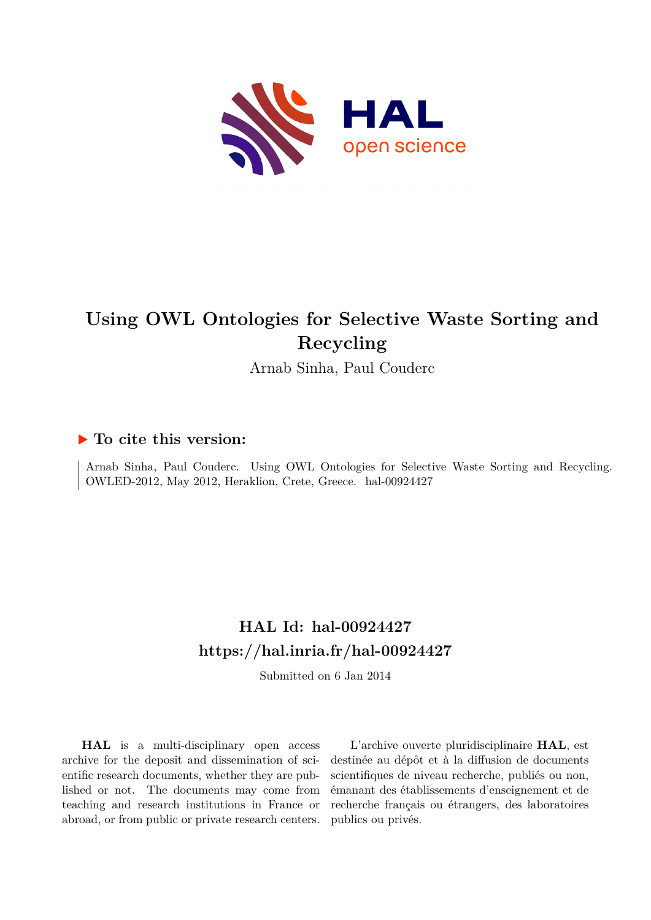

Arnab Sinha, Paul Couderc

# **To cite this version:**

Arnab Sinha, Paul Couderc. Using OWL Ontologies for Selective Waste Sorting and Recycling. OWLED-2012, May 2012, Heraklion, Crete, Greece. hal-00924427

# **HAL Id: hal-00924427 <https://hal.inria.fr/hal-00924427>**

Submitted on 6 Jan 2014

**HAL** is a multi-disciplinary open access archive for the deposit and dissemination of scientific research documents, whether they are published or not. The documents may come from teaching and research institutions in France or abroad, or from public or private research centers.

L'archive ouverte pluridisciplinaire **HAL**, est destinée au dépôt et à la diffusion de documents scientifiques de niveau recherche, publiés ou non, émanant des établissements d'enseignement et de recherche français ou étrangers, des laboratoires publics ou privés.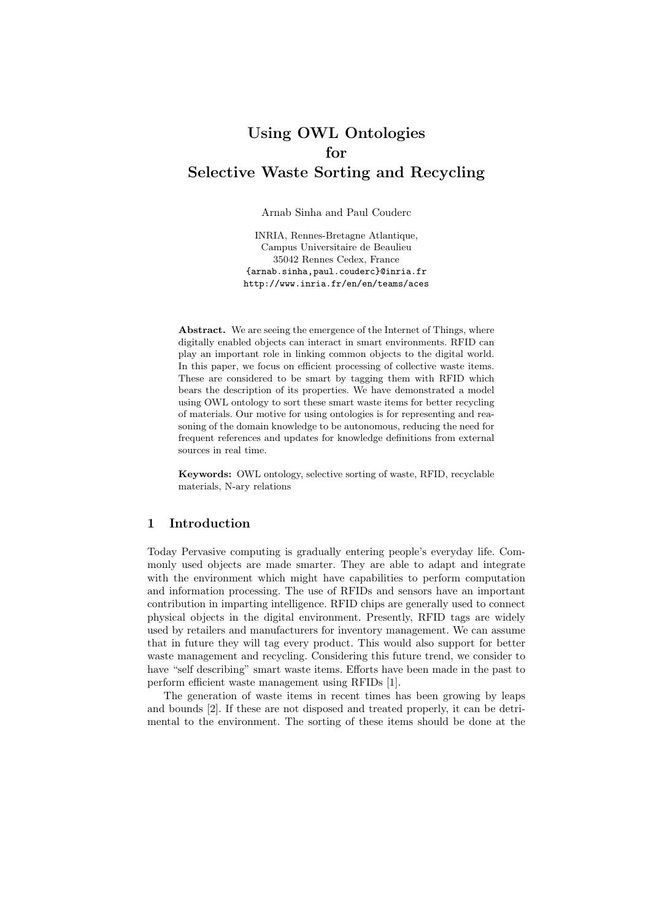Arnab Sinha and Paul Couderc

INRIA, Rennes-Bretagne Atlantique, Campus Universitaire de Beaulieu 35042 Rennes Cedex, France {arnab.sinha,paul.couderc}@inria.fr http://www.inria.fr/en/en/teams/aces

Abstract. We are seeing the emergence of the Internet of Things, where digitally enabled objects can interact in smart environments. RFID can play an important role in linking common objects to the digital world. In this paper, we focus on efficient processing of collective waste items. These are considered to be smart by tagging them with RFID which bears the description of its properties. We have demonstrated a model using OWL ontology to sort these smart waste items for better recycling of materials. Our motive for using ontologies is for representing and reasoning of the domain knowledge to be autonomous, reducing the need for frequent references and updates for knowledge definitions from external sources in real time.

Keywords: OWL ontology, selective sorting of waste, RFID, recyclable materials, N-ary relations

### 1 Introduction

Today Pervasive computing is gradually entering people's everyday life. Commonly used objects are made smarter. They are able to adapt and integrate with the environment which might have capabilities to perform computation and information processing. The use of RFIDs and sensors have an important contribution in imparting intelligence. RFID chips are generally used to connect physical objects in the digital environment. Presently, RFID tags are widely used by retailers and manufacturers for inventory management. We can assume that in future they will tag every product. This would also support for better waste management and recycling. Considering this future trend, we consider to have "self describing" smart waste items. Efforts have been made in the past to perform efficient waste management using RFIDs [1].

The generation of waste items in recent times has been growing by leaps and bounds [2]. If these are not disposed and treated properly, it can be detrimental to the environment. The sorting of these items should be done at the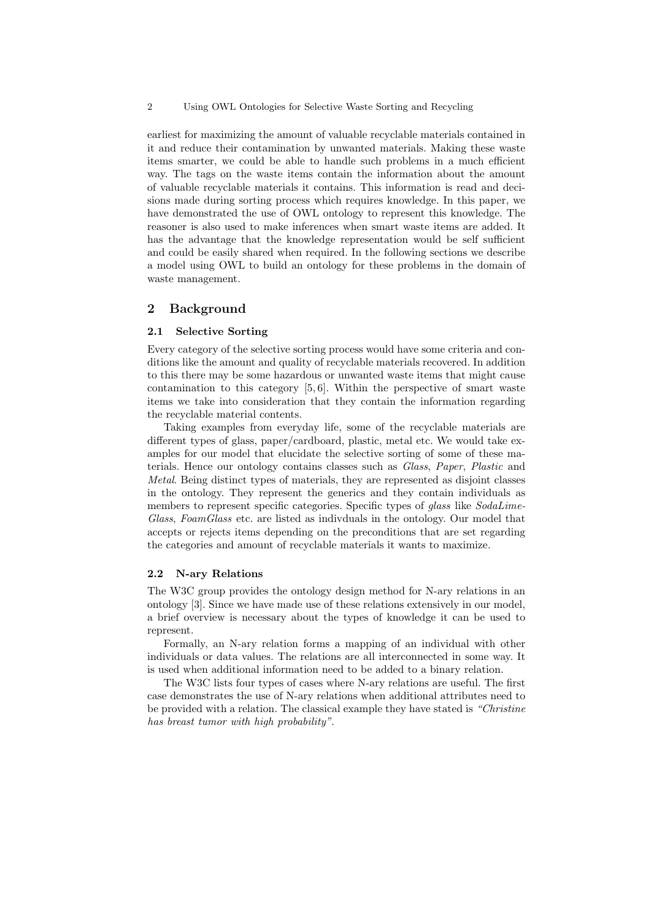earliest for maximizing the amount of valuable recyclable materials contained in it and reduce their contamination by unwanted materials. Making these waste items smarter, we could be able to handle such problems in a much efficient way. The tags on the waste items contain the information about the amount of valuable recyclable materials it contains. This information is read and decisions made during sorting process which requires knowledge. In this paper, we have demonstrated the use of OWL ontology to represent this knowledge. The reasoner is also used to make inferences when smart waste items are added. It has the advantage that the knowledge representation would be self sufficient and could be easily shared when required. In the following sections we describe a model using OWL to build an ontology for these problems in the domain of waste management.

#### 2 Background

#### 2.1 Selective Sorting

Every category of the selective sorting process would have some criteria and conditions like the amount and quality of recyclable materials recovered. In addition to this there may be some hazardous or unwanted waste items that might cause contamination to this category  $[5, 6]$ . Within the perspective of smart waste items we take into consideration that they contain the information regarding the recyclable material contents.

Taking examples from everyday life, some of the recyclable materials are different types of glass, paper/cardboard, plastic, metal etc. We would take examples for our model that elucidate the selective sorting of some of these materials. Hence our ontology contains classes such as Glass, Paper, Plastic and Metal. Being distinct types of materials, they are represented as disjoint classes in the ontology. They represent the generics and they contain individuals as members to represent specific categories. Specific types of *glass* like *SodaLime*-Glass, FoamGlass etc. are listed as indivduals in the ontology. Our model that accepts or rejects items depending on the preconditions that are set regarding the categories and amount of recyclable materials it wants to maximize.

#### 2.2 N-ary Relations

The W3C group provides the ontology design method for N-ary relations in an ontology [3]. Since we have made use of these relations extensively in our model, a brief overview is necessary about the types of knowledge it can be used to represent.

Formally, an N-ary relation forms a mapping of an individual with other individuals or data values. The relations are all interconnected in some way. It is used when additional information need to be added to a binary relation.

The W3C lists four types of cases where N-ary relations are useful. The first case demonstrates the use of N-ary relations when additional attributes need to be provided with a relation. The classical example they have stated is "Christine has breast tumor with high probability".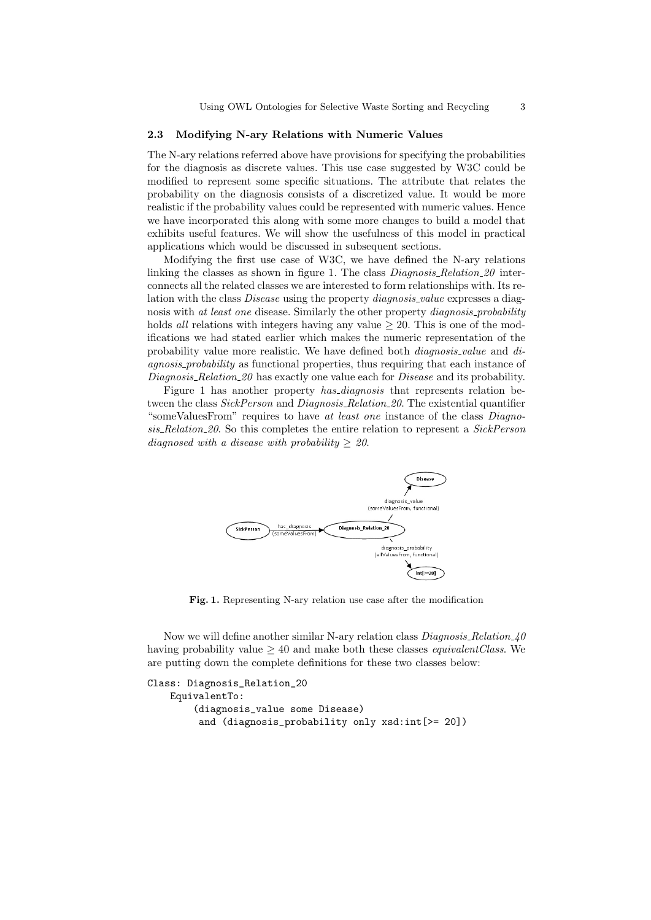#### 2.3 Modifying N-ary Relations with Numeric Values

The N-ary relations referred above have provisions for specifying the probabilities for the diagnosis as discrete values. This use case suggested by W3C could be modified to represent some specific situations. The attribute that relates the probability on the diagnosis consists of a discretized value. It would be more realistic if the probability values could be represented with numeric values. Hence we have incorporated this along with some more changes to build a model that exhibits useful features. We will show the usefulness of this model in practical applications which would be discussed in subsequent sections.

Modifying the first use case of W3C, we have defined the N-ary relations linking the classes as shown in figure 1. The class *Diagnosis\_Relation\_20* interconnects all the related classes we are interested to form relationships with. Its relation with the class *Disease* using the property *diagnosis\_value* expresses a diagnosis with at least one disease. Similarly the other property *diagnosis-probability* holds all relations with integers having any value  $\geq 20$ . This is one of the modifications we had stated earlier which makes the numeric representation of the probability value more realistic. We have defined both *diagnosis\_value* and *di*agnosis probability as functional properties, thus requiring that each instance of Diagnosis Relation 20 has exactly one value each for Disease and its probability.

Figure 1 has another property *has\_diagnosis* that represents relation between the class SickPerson and Diagnosis Relation 20. The existential quantifier "someValuesFrom" requires to have at least one instance of the class Diagnosis Relation 20. So this completes the entire relation to represent a SickPerson diagnosed with a disease with probability  $> 20$ .



Fig. 1. Representing N-ary relation use case after the modification

Now we will define another similar N-ary relation class  $Diagonosis$ -Relation 40 having probability value  $> 40$  and make both these classes *equivalent Class*. We are putting down the complete definitions for these two classes below:

```
Class: Diagnosis_Relation_20
  EquivalentTo:
       (diagnosis_value some Disease)
        and (diagnosis_probability only xsd:int[>= 20])
```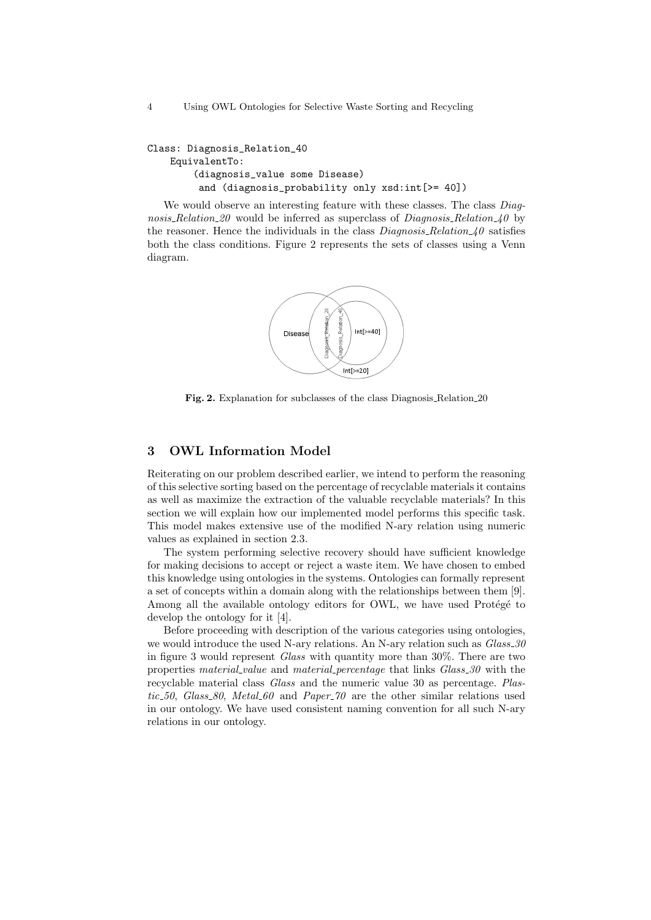```
Class: Diagnosis_Relation_40
  EquivalentTo:
       (diagnosis_value some Disease)
        and (diagnosis_probability only xsd:int[>= 40])
```
We would observe an interesting feature with these classes. The class *Diag*nosis\_Relation\_20 would be inferred as superclass of *Diagnosis\_Relation\_40* by the reasoner. Hence the individuals in the class  $Diagnosis_Relation_40$  satisfies both the class conditions. Figure 2 represents the sets of classes using a Venn diagram.



Fig. 2. Explanation for subclasses of the class Diagnosis Relation 20

# 3 OWL Information Model

Reiterating on our problem described earlier, we intend to perform the reasoning of this selective sorting based on the percentage of recyclable materials it contains as well as maximize the extraction of the valuable recyclable materials? In this section we will explain how our implemented model performs this specific task. This model makes extensive use of the modified N-ary relation using numeric values as explained in section 2.3.

The system performing selective recovery should have sufficient knowledge for making decisions to accept or reject a waste item. We have chosen to embed this knowledge using ontologies in the systems. Ontologies can formally represent a set of concepts within a domain along with the relationships between them [9]. Among all the available ontology editors for OWL, we have used Protégé to develop the ontology for it [4].

Before proceeding with description of the various categories using ontologies, we would introduce the used N-ary relations. An N-ary relation such as  $Glass_{30}$ in figure 3 would represent Glass with quantity more than 30%. There are two properties material value and material percentage that links Glass 30 with the recyclable material class Glass and the numeric value 30 as percentage. Plastic 50, Glass 80, Metal 60 and Paper 70 are the other similar relations used in our ontology. We have used consistent naming convention for all such N-ary relations in our ontology.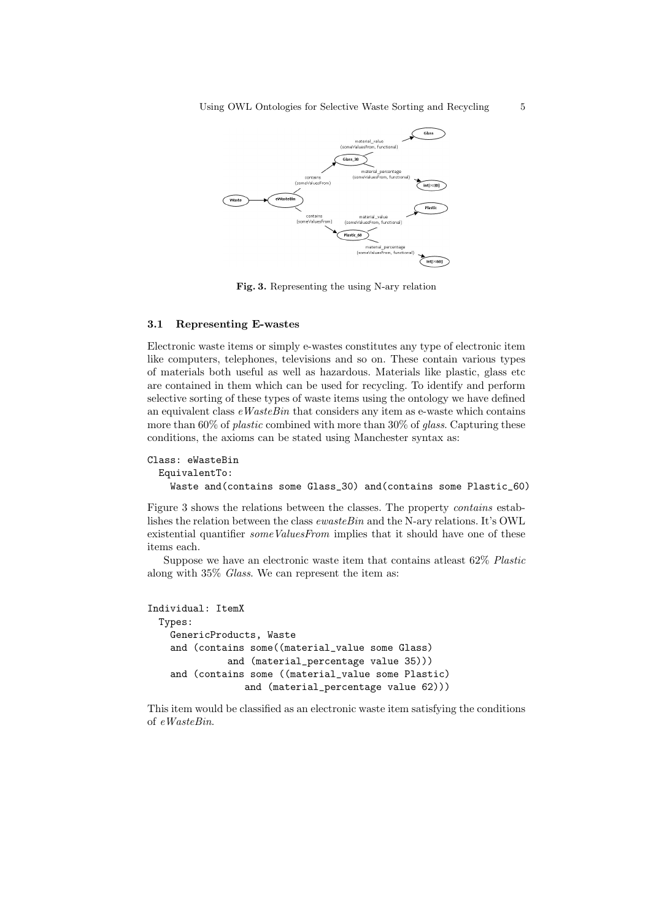

Fig. 3. Representing the using N-ary relation

#### 3.1 Representing E-wastes

Electronic waste items or simply e-wastes constitutes any type of electronic item like computers, telephones, televisions and so on. These contain various types of materials both useful as well as hazardous. Materials like plastic, glass etc are contained in them which can be used for recycling. To identify and perform selective sorting of these types of waste items using the ontology we have defined an equivalent class  $eWasteBin$  that considers any item as e-waste which contains more than 60% of *plastic* combined with more than 30% of *glass*. Capturing these conditions, the axioms can be stated using Manchester syntax as:

```
Class: eWasteBin
EquivalentTo:
  Waste and(contains some Glass_30) and(contains some Plastic_60)
```
Figure 3 shows the relations between the classes. The property contains establishes the relation between the class  $\epsilon_{\text{wasteBin}}$  and the N-ary relations. It's OWL existential quantifier *someValuesFrom* implies that it should have one of these items each.

Suppose we have an electronic waste item that contains atleast 62% Plastic along with 35% Glass. We can represent the item as:

```
Individual: ItemX
 Types:
  GenericProducts, Waste
  and (contains some((material_value some Glass)
             and (material_percentage value 35)))
   and (contains some ((material_value some Plastic)
                and (material_percentage value 62)))
```
This item would be classified as an electronic waste item satisfying the conditions of eWasteBin.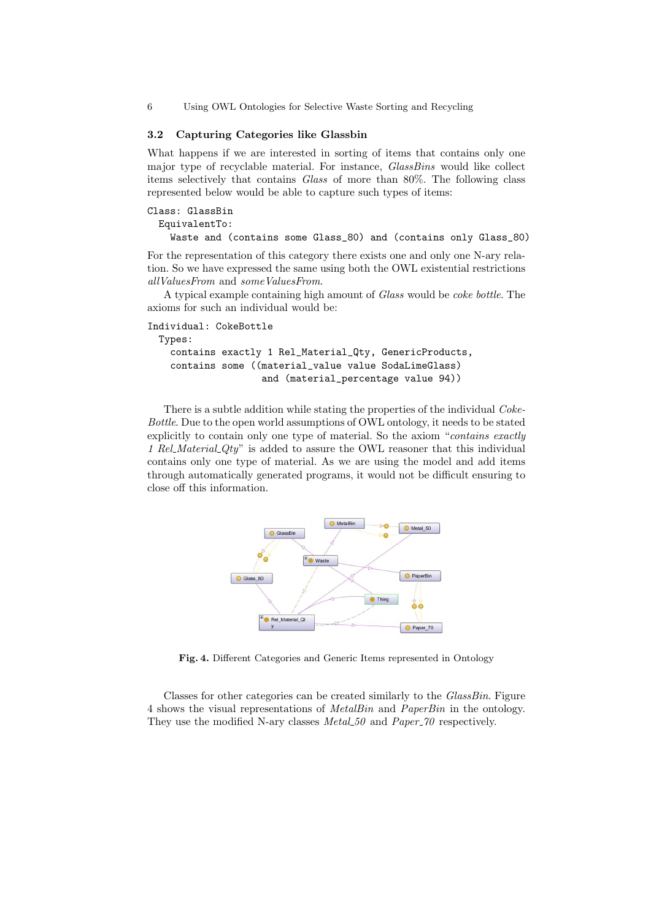#### 3.2 Capturing Categories like Glassbin

What happens if we are interested in sorting of items that contains only one major type of recyclable material. For instance, *GlassBins* would like collect items selectively that contains Glass of more than 80%. The following class represented below would be able to capture such types of items:

```
Class: GlassBin
EquivalentTo:
  Waste and (contains some Glass_80) and (contains only Glass_80)
```
For the representation of this category there exists one and only one N-ary relation. So we have expressed the same using both the OWL existential restrictions allValuesFrom and someValuesFrom.

A typical example containing high amount of Glass would be coke bottle. The axioms for such an individual would be:

```
Individual: CokeBottle
Types:
  contains exactly 1 Rel_Material_Qty, GenericProducts,
  contains some ((material_value value SodaLimeGlass)
                   and (material_percentage value 94))
```
There is a subtle addition while stating the properties of the individual *Coke*-Bottle. Due to the open world assumptions of OWL ontology, it needs to be stated explicitly to contain only one type of material. So the axiom "*contains exactly* 1 Rel. Material  $Qty$ " is added to assure the OWL reasoner that this individual contains only one type of material. As we are using the model and add items through automatically generated programs, it would not be difficult ensuring to close off this information.



Fig. 4. Different Categories and Generic Items represented in Ontology

Classes for other categories can be created similarly to the GlassBin. Figure 4 shows the visual representations of MetalBin and PaperBin in the ontology. They use the modified N-ary classes  $MetaL50$  and  $Paper\_70$  respectively.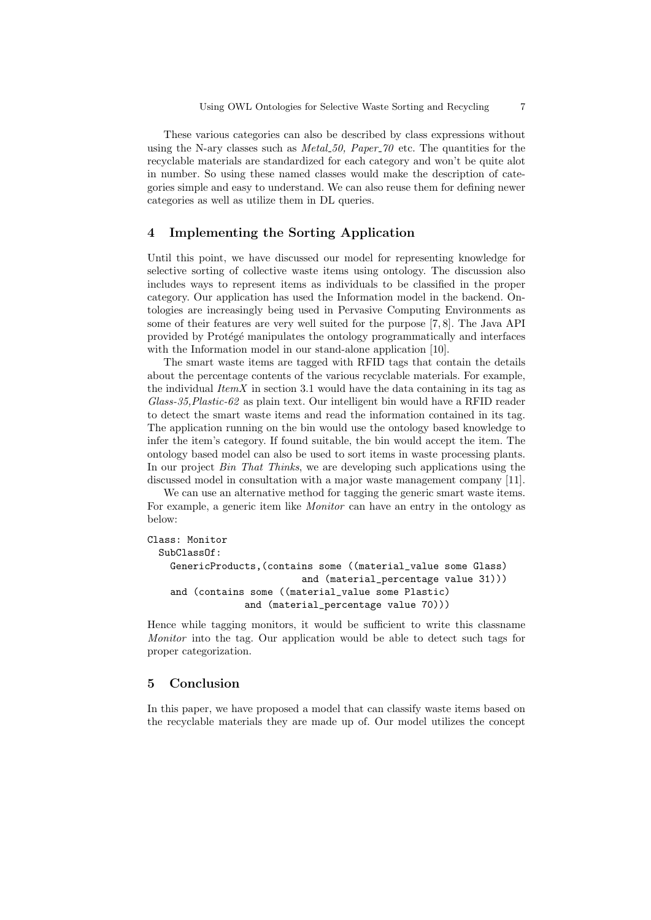These various categories can also be described by class expressions without using the N-ary classes such as *Metal.* 50, Paper  $\tilde{z}$  of the quantities for the recyclable materials are standardized for each category and won't be quite alot in number. So using these named classes would make the description of categories simple and easy to understand. We can also reuse them for defining newer categories as well as utilize them in DL queries.

# 4 Implementing the Sorting Application

Until this point, we have discussed our model for representing knowledge for selective sorting of collective waste items using ontology. The discussion also includes ways to represent items as individuals to be classified in the proper category. Our application has used the Information model in the backend. Ontologies are increasingly being used in Pervasive Computing Environments as some of their features are very well suited for the purpose [7, 8]. The Java API provided by Protégé manipulates the ontology programmatically and interfaces with the Information model in our stand-alone application [10].

The smart waste items are tagged with RFID tags that contain the details about the percentage contents of the various recyclable materials. For example, the individual  $ItemX$  in section 3.1 would have the data containing in its tag as  $Glass-35, Plastic-62$  as plain text. Our intelligent bin would have a RFID reader to detect the smart waste items and read the information contained in its tag. The application running on the bin would use the ontology based knowledge to infer the item's category. If found suitable, the bin would accept the item. The ontology based model can also be used to sort items in waste processing plants. In our project *Bin That Thinks*, we are developing such applications using the discussed model in consultation with a major waste management company [11].

We can use an alternative method for tagging the generic smart waste items. For example, a generic item like Monitor can have an entry in the ontology as below:

```
Class: Monitor
SubClassOf:
  GenericProducts,(contains some ((material_value some Glass)
                          and (material_percentage value 31)))
  and (contains some ((material_value some Plastic)
                and (material_percentage value 70)))
```
Hence while tagging monitors, it would be sufficient to write this classname Monitor into the tag. Our application would be able to detect such tags for proper categorization.

### 5 Conclusion

In this paper, we have proposed a model that can classify waste items based on the recyclable materials they are made up of. Our model utilizes the concept